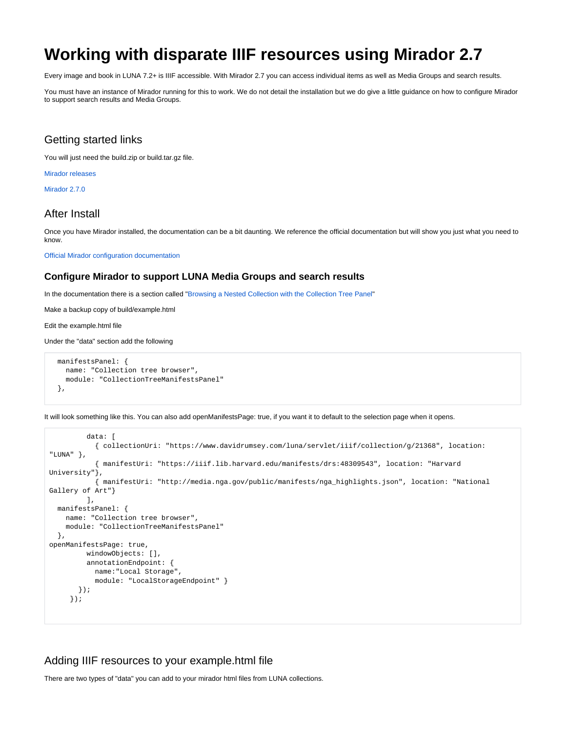# <span id="page-0-0"></span>**Working with disparate IIIF resources using Mirador 2.7**

Every image and book in LUNA 7.2+ is IIIF accessible. With Mirador 2.7 you can access individual items as well as Media Groups and search results.

You must have an instance of Mirador running for this to work. We do not detail the installation but we do give a little guidance on how to configure Mirador to support search results and Media Groups.

## Getting started links

You will just need the build.zip or build.tar.gz file.

[Mirador releases](https://github.com/ProjectMirador/mirador/releases)

[Mirador 2.7.0](https://github.com/ProjectMirador/mirador/releases/tag/v2.7.0)

### After Install

Once you have Mirador installed, the documentation can be a bit daunting. We reference the official documentation but will show you just what you need to know.

[Official Mirador configuration documentation](https://github.com/ProjectMirador/mirador/wiki/Configuration-Guides)

#### **Configure Mirador to support LUNA Media Groups and search results**

In the documentation there is a section called ["Browsing a Nested Collection with the Collection Tree Panel"](https://github.com/ProjectMirador/mirador/wiki/Configuration-Guides#browsing-a-nested-collection-with-the-collection-tree-panel)

Make a backup copy of build/example.html

Edit the example.html file

Under the "data" section add the following

```
 manifestsPanel: {
  name: "Collection tree browser",
   module: "CollectionTreeManifestsPanel"
 },
```
It will look something like this. You can also add openManifestsPage: true, if you want it to default to the selection page when it opens.

```
 data: [
            { collectionUri: "https://www.davidrumsey.com/luna/servlet/iiif/collection/g/21368", location: 
"LUNA" },
            { manifestUri: "https://iiif.lib.harvard.edu/manifests/drs:48309543", location: "Harvard 
University"},
            { manifestUri: "http://media.nga.gov/public/manifests/nga_highlights.json", location: "National 
Gallery of Art"}
         ],
  manifestsPanel: {
    name: "Collection tree browser",
    module: "CollectionTreeManifestsPanel"
  },
openManifestsPage: true,
         windowObjects: [],
         annotationEndpoint: {
           name:"Local Storage",
            module: "LocalStorageEndpoint" }
        });
      });
```
#### Adding IIIF resources to your example.html file

There are two types of "data" you can add to your mirador html files from LUNA collections.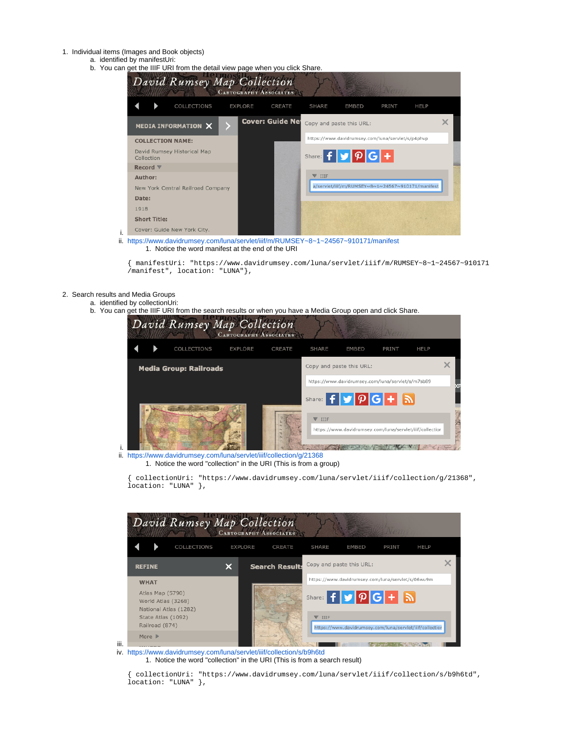- 1. Individual items (Images and Book objects)
	- a. identified by manifestUri:
	- b. You can get the IIIF URI from the detail view page when you click Share.

| ສະ.<br>David Rumsey Map Collection        | $\sim$ page  you onon<br><b>CARTOGRAPHY ASSOCIATES</b>                           |
|-------------------------------------------|----------------------------------------------------------------------------------|
| COLLECTIONS                               | <b>EXPLORE</b><br>SHARE<br><b>HELP</b><br>CREATE<br>EMBED<br>PRINT               |
| MEDIA INFORMATION X                       | <b>Cover: Guide Net</b><br>$\pmb{\times}$<br>Copy and paste this URL:            |
| <b>COLLECTION NAME:</b>                   | https://www.davidrumsey.com/luna/servlet/s/p4phvp                                |
| David Rumsey Historical Map<br>Collection | Share: $f \vert y \vert \rho \vert G \vert +$                                    |
| Record $\nabla$                           |                                                                                  |
| Author:                                   | $\nabla$ iiif                                                                    |
| New York Central Railroad Company         | a/servlet/iiif/m/RUMSEY~8~1~24567~910171/manifest                                |
| Date:                                     |                                                                                  |
| 1918                                      |                                                                                  |
| <b>Short Title:</b>                       |                                                                                  |
| Cover: Guide New York City.               |                                                                                  |
|                                           | https://www.davidrumsey.com/luna/servlet/iiif/m/RUMSEY~8~1~24567~910171/manifest |

1. Notice the word manifest at the end of the URI

{ manifestUri: "https://www.davidrumsey.com/luna/servlet/iiif/m/RUMSEY~8~1~24567~910171 /manifest", location: "LUNA"},

2. Search results and Media Groups

i.

i. ii.

- a. identified by collectionUri:
- b. You can get the IIIF URI from the search results or when you have a Media Group open and click Share.



ii. <https://www.davidrumsey.com/luna/servlet/iiif/collection/g/21368> 1. Notice the word "collection" in the URI (This is from a group)

{ collectionUri: "https://www.davidrumsey.com/luna/servlet/iiif/collection/g/21368", location: "LUNA" },

| David Rumsey Map Collection                                     |                | <b>CARTOGRAPHY ASSOCIATES</b> |               |                                                          |       |             |  |
|-----------------------------------------------------------------|----------------|-------------------------------|---------------|----------------------------------------------------------|-------|-------------|--|
| COLLECTIONS                                                     | <b>EXPLORE</b> | CREATE                        | <b>SHARE</b>  | <b>EMBED</b>                                             | PRINT | <b>HELP</b> |  |
| <b>REFINE</b>                                                   |                | <b>Search Results</b>         |               | Copy and paste this URL:                                 |       |             |  |
| <b>WHAT</b>                                                     |                |                               |               | https://www.davidrumsey.com/luna/servlet/s/06wu9m        |       |             |  |
| Atlas Map (5790)<br>World Atlas (3268)<br>National Atlas (1282) |                |                               |               | Share: $f \times p G + N$                                |       |             |  |
| State Atlas (1092)                                              |                |                               | $\nabla$ IIIF |                                                          |       |             |  |
| Railroad (874)                                                  |                |                               |               | https://www.davidrumsey.com/luna/servlet/iiif/collectior |       |             |  |
| More $\triangleright$                                           |                |                               |               |                                                          |       |             |  |

- iii.
- iv. <https://www.davidrumsey.com/luna/servlet/iiif/collection/s/b9h6td> 1. Notice the word "collection" in the URI (This is from a search result)

{ collectionUri: "https://www.davidrumsey.com/luna/servlet/iiif/collection/s/b9h6td", location: "LUNA" },